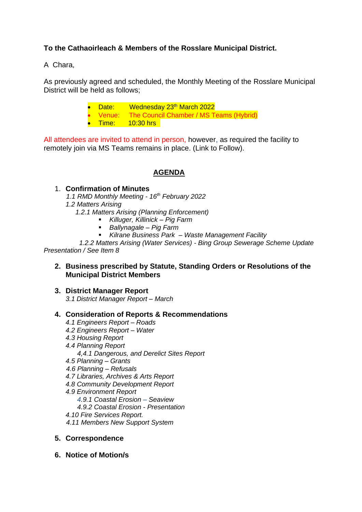## **To the Cathaoirleach & Members of the Rosslare Municipal District.**

A Chara,

As previously agreed and scheduled, the Monthly Meeting of the Rosslare Municipal District will be held as follows;

> Date: Wednesday 23<sup>th</sup> March 2022 • Venue: The Council Chamber / MS Teams (Hybrid) • Time: 10:30 hrs

All attendees are invited to attend in person, however, as required the facility to remotely join via MS Teams remains in place. (Link to Follow).

## **AGENDA**

### 1. **Confirmation of Minutes**

- *1.1 RMD Monthly Meeting - 16th February 2022*
- *1.2 Matters Arising*
	- *1.2.1 Matters Arising (Planning Enforcement)* 
		- *Killuger, Killinick – Pig Farm*
		- *Ballynagale – Pig Farm*
		- *Kilrane Business Park – Waste Management Facility*

 *1.2.2 Matters Arising (Water Services) - Bing Group Sewerage Scheme Update Presentation / See Item 8* 

### **2. Business prescribed by Statute, Standing Orders or Resolutions of the Municipal District Members**

**3. District Manager Report** *3.1 District Manager Report – March*

#### **4. Consideration of Reports & Recommendations**

- *4.1 Engineers Report – Roads*
- *4.2 Engineers Report – Water*
- *4.3 Housing Report*
- *4.4 Planning Report*
	- *4,4.1 Dangerous, and Derelict Sites Report*
- *4.5 Planning – Grants*
- *4.6 Planning – Refusals*
- *4.7 Libraries, Archives & Arts Report*
- *4.8 Community Development Report*
- *4.9 Environment Report*
	- *4.9.1 Coastal Erosion – Seaview*
	- *4.9.2 Coastal Erosion - Presentation*
- *4.10 Fire Services Report.*
- *4.11 Members New Support System*

#### **5. Correspondence**

**6. Notice of Motion/s**